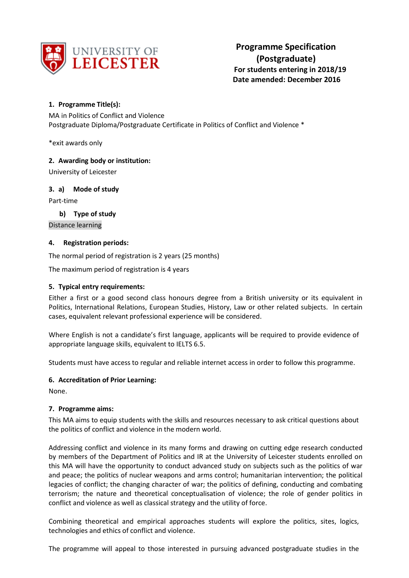

# **1. Programme Title(s):**

MA in Politics of Conflict and Violence Postgraduate Diploma/Postgraduate Certificate in Politics of Conflict and Violence \*

\*exit awards only

## **2. Awarding body or institution:**

University of Leicester

## **3. a) Mode of study**

Part-time

## **b) Type of study**

Distance learning

### **4. Registration periods:**

The normal period of registration is 2 years (25 months)

The maximum period of registration is 4 years

## **5. Typical entry requirements:**

Either a first or a good second class honours degree from a British university or its equivalent in Politics, International Relations, European Studies, History, Law or other related subjects. In certain cases, equivalent relevant professional experience will be considered.

Where English is not a candidate's first language, applicants will be required to provide evidence of appropriate language skills, equivalent to IELTS 6.5.

Students must have access to regular and reliable internet access in order to follow this programme.

## **6. Accreditation of Prior Learning:**

None.

### **7. Programme aims:**

This MA aims to equip students with the skills and resources necessary to ask critical questions about the politics of conflict and violence in the modern world.

Addressing conflict and violence in its many forms and drawing on cutting edge research conducted by members of the Department of Politics and IR at the University of Leicester students enrolled on this MA will have the opportunity to conduct advanced study on subjects such as the politics of war and peace; the politics of nuclear weapons and arms control; humanitarian intervention; the political legacies of conflict; the changing character of war; the politics of defining, conducting and combating terrorism; the nature and theoretical conceptualisation of violence; the role of gender politics in conflict and violence as well as classical strategy and the utility of force.

Combining theoretical and empirical approaches students will explore the politics, sites, logics, technologies and ethics of conflict and violence.

The programme will appeal to those interested in pursuing advanced postgraduate studies in the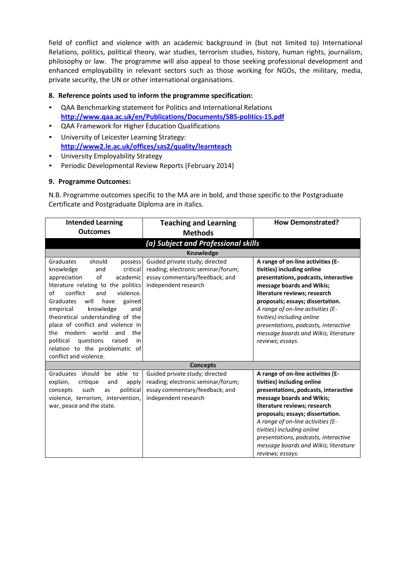field of conflict and violence with an academic background in (but not limited to) International Relations, politics, political theory, war studies, terrorism studies, history, human rights, journalism, philosophy or law. The programme will also appeal to those seeking professional development and enhanced employability in relevant sectors such as those working for NGOs, the military, media, private security, the UN or other international organisations.

## **8. Reference points used to inform the programme specification:**

- QAA Benchmarking statement for Politics and International Relations **<http://www.qaa.ac.uk/en/Publications/Documents/SBS-politics-15.pdf>**
- QAA Framework for Higher Education Qualifications
- University of Leicester Learning Strategy: **<http://www2.le.ac.uk/offices/sas2/quality/learnteach>**
- University Employability Strategy
- Periodic Developmental Review Reports (February 2014)

### **9. Programme Outcomes:**

N.B. Programme outcomes specific to the MA are in bold, and those specific to the Postgraduate Certificate and Postgraduate Diploma are in italics.

| <b>Intended Learning</b><br><b>Outcomes</b>                                                                                                                                                                                                                                                                                                                                                                                                                               | <b>Teaching and Learning</b><br><b>Methods</b>                                                                                                     | <b>How Demonstrated?</b>                                                                                                                                                                                                                                                                                                                                                        |
|---------------------------------------------------------------------------------------------------------------------------------------------------------------------------------------------------------------------------------------------------------------------------------------------------------------------------------------------------------------------------------------------------------------------------------------------------------------------------|----------------------------------------------------------------------------------------------------------------------------------------------------|---------------------------------------------------------------------------------------------------------------------------------------------------------------------------------------------------------------------------------------------------------------------------------------------------------------------------------------------------------------------------------|
|                                                                                                                                                                                                                                                                                                                                                                                                                                                                           |                                                                                                                                                    |                                                                                                                                                                                                                                                                                                                                                                                 |
|                                                                                                                                                                                                                                                                                                                                                                                                                                                                           | (a) Subject and Professional skills                                                                                                                |                                                                                                                                                                                                                                                                                                                                                                                 |
| Graduates<br>should<br>possess<br>critical<br>knowledge<br>and<br>of<br>appreciation<br>academic<br>literature relating to the politics<br>conflict<br>violence.<br>of<br>and<br>will<br>Graduates<br>have<br>gained<br>knowledge<br>empirical<br>and<br>theoretical understanding of the<br>place of conflict and violence in<br>modern world<br>and<br>the<br>the<br>political<br>questions<br>raised<br>in<br>relation to the problematic of<br>conflict and violence. | <b>Knowledge</b><br>Guided private study; directed<br>reading; electronic seminar/forum;<br>essay commentary/feedback; and<br>independent research | A range of on-line activities (E-<br>tivities) including online<br>presentations, podcasts, interactive<br>message boards and Wikis;<br>literature reviews; research<br>proposals; essays; dissertation.<br>A range of on-line activities (E-<br>tivities) including online<br>presentations, podcasts, interactive<br>message boards and Wikis; literature<br>reviews; essays. |
|                                                                                                                                                                                                                                                                                                                                                                                                                                                                           | <b>Concepts</b>                                                                                                                                    |                                                                                                                                                                                                                                                                                                                                                                                 |
| Graduates should<br>be able to<br>explain,<br>critique<br>and<br>apply<br>such<br>political<br>concepts<br>as<br>violence, terrorism, intervention,<br>war, peace and the state.                                                                                                                                                                                                                                                                                          | Guided private study; directed<br>reading; electronic seminar/forum;<br>essay commentary/feedback; and<br>independent research                     | A range of on-line activities (E-<br>tivities) including online<br>presentations, podcasts, interactive<br>message boards and Wikis;<br>literature reviews; research<br>proposals; essays; dissertation.<br>A range of on-line activities (E-<br>tivities) including online<br>presentations, podcasts, interactive<br>message boards and Wikis; literature<br>reviews; essays. |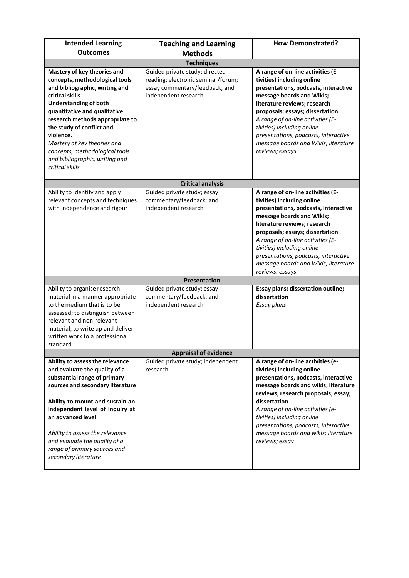| <b>Intended Learning</b><br><b>Outcomes</b>                                                                                                                                                                                                                                                                                                                                           | <b>Teaching and Learning</b><br><b>Methods</b>                                                                                 | <b>How Demonstrated?</b>                                                                                                                                                                                                                                                                                                                                                        |  |  |
|---------------------------------------------------------------------------------------------------------------------------------------------------------------------------------------------------------------------------------------------------------------------------------------------------------------------------------------------------------------------------------------|--------------------------------------------------------------------------------------------------------------------------------|---------------------------------------------------------------------------------------------------------------------------------------------------------------------------------------------------------------------------------------------------------------------------------------------------------------------------------------------------------------------------------|--|--|
| <b>Techniques</b>                                                                                                                                                                                                                                                                                                                                                                     |                                                                                                                                |                                                                                                                                                                                                                                                                                                                                                                                 |  |  |
| Mastery of key theories and<br>concepts, methodological tools<br>and bibliographic, writing and<br>critical skills<br><b>Understanding of both</b><br>quantitative and qualitative<br>research methods appropriate to<br>the study of conflict and<br>violence.<br>Mastery of key theories and<br>concepts, methodological tools<br>and bibliographic, writing and<br>critical skills | Guided private study; directed<br>reading; electronic seminar/forum;<br>essay commentary/feedback; and<br>independent research | A range of on-line activities (E-<br>tivities) including online<br>presentations, podcasts, interactive<br>message boards and Wikis;<br>literature reviews; research<br>proposals; essays; dissertation.<br>A range of on-line activities (E-<br>tivities) including online<br>presentations, podcasts, interactive<br>message boards and Wikis; literature<br>reviews; essays. |  |  |
|                                                                                                                                                                                                                                                                                                                                                                                       | <b>Critical analysis</b>                                                                                                       |                                                                                                                                                                                                                                                                                                                                                                                 |  |  |
| Ability to identify and apply<br>relevant concepts and techniques<br>with independence and rigour                                                                                                                                                                                                                                                                                     | Guided private study; essay<br>commentary/feedback; and<br>independent research<br><b>Presentation</b>                         | A range of on-line activities (E-<br>tivities) including online<br>presentations, podcasts, interactive<br>message boards and Wikis;<br>literature reviews; research<br>proposals; essays; dissertation<br>A range of on-line activities (E-<br>tivities) including online<br>presentations, podcasts, interactive<br>message boards and Wikis; literature<br>reviews; essays.  |  |  |
|                                                                                                                                                                                                                                                                                                                                                                                       |                                                                                                                                |                                                                                                                                                                                                                                                                                                                                                                                 |  |  |
| Ability to organise research<br>material in a manner appropriate<br>to the medium that is to be<br>assessed; to distinguish between<br>relevant and non-relevant<br>material; to write up and deliver<br>written work to a professional<br>standard                                                                                                                                   | Guided private study; essay<br>commentary/feedback; and<br>independent research                                                | Essay plans; dissertation outline;<br>dissertation<br>Essay plans                                                                                                                                                                                                                                                                                                               |  |  |
|                                                                                                                                                                                                                                                                                                                                                                                       | <b>Appraisal of evidence</b>                                                                                                   |                                                                                                                                                                                                                                                                                                                                                                                 |  |  |
| Ability to assess the relevance<br>and evaluate the quality of a<br>substantial range of primary<br>sources and secondary literature<br>Ability to mount and sustain an<br>independent level of inquiry at<br>an advanced level<br>Ability to assess the relevance<br>and evaluate the quality of a<br>range of primary sources and<br>secondary literature                           | Guided private study; independent<br>research                                                                                  | A range of on-line activities (e-<br>tivities) including online<br>presentations, podcasts, interactive<br>message boards and wikis; literature<br>reviews; research proposals; essay;<br>dissertation<br>A range of on-line activities (e-<br>tivities) including online<br>presentations, podcasts, interactive<br>message boards and wikis; literature<br>reviews; essay     |  |  |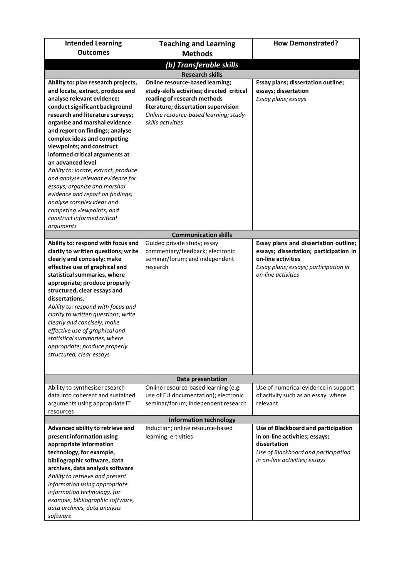| <b>Intended Learning</b>                                                                                                                                                                                                                                                                                                                                                                                                                                                                                                                         | <b>Teaching and Learning</b>                                                                                                                                                                                               | <b>How Demonstrated?</b>                                                                                                                                             |  |  |  |
|--------------------------------------------------------------------------------------------------------------------------------------------------------------------------------------------------------------------------------------------------------------------------------------------------------------------------------------------------------------------------------------------------------------------------------------------------------------------------------------------------------------------------------------------------|----------------------------------------------------------------------------------------------------------------------------------------------------------------------------------------------------------------------------|----------------------------------------------------------------------------------------------------------------------------------------------------------------------|--|--|--|
| <b>Outcomes</b>                                                                                                                                                                                                                                                                                                                                                                                                                                                                                                                                  | <b>Methods</b>                                                                                                                                                                                                             |                                                                                                                                                                      |  |  |  |
|                                                                                                                                                                                                                                                                                                                                                                                                                                                                                                                                                  | (b) Transferable skills                                                                                                                                                                                                    |                                                                                                                                                                      |  |  |  |
|                                                                                                                                                                                                                                                                                                                                                                                                                                                                                                                                                  | <b>Research skills</b>                                                                                                                                                                                                     |                                                                                                                                                                      |  |  |  |
| Ability to: plan research projects,<br>and locate, extract, produce and<br>analyse relevant evidence;<br>conduct significant background<br>research and literature surveys;<br>organise and marshal evidence<br>and report on findings; analyse<br>complex ideas and competing<br>viewpoints; and construct<br>informed critical arguments at<br>an advanced level<br>Ability to: locate, extract, produce<br>and analyse relevant evidence for<br>essays; organise and marshal<br>evidence and report on findings;<br>analyse complex ideas and | <b>Online resource-based learning;</b><br>study-skills activities; directed critical<br>reading of research methods<br>literature; dissertation supervision<br>Online resource-based learning; study-<br>skills activities | Essay plans; dissertation outline;<br>essays; dissertation<br>Essay plans; essays                                                                                    |  |  |  |
| competing viewpoints; and<br>construct informed critical                                                                                                                                                                                                                                                                                                                                                                                                                                                                                         |                                                                                                                                                                                                                            |                                                                                                                                                                      |  |  |  |
| arguments                                                                                                                                                                                                                                                                                                                                                                                                                                                                                                                                        |                                                                                                                                                                                                                            |                                                                                                                                                                      |  |  |  |
|                                                                                                                                                                                                                                                                                                                                                                                                                                                                                                                                                  | <b>Communication skills</b>                                                                                                                                                                                                |                                                                                                                                                                      |  |  |  |
| Ability to: respond with focus and<br>clarity to written questions; write<br>clearly and concisely; make<br>effective use of graphical and<br>statistical summaries, where<br>appropriate; produce properly<br>structured, clear essays and<br>dissertations.<br>Ability to: respond with focus and<br>clarity to written questions; write<br>clearly and concisely; make<br>effective use of graphical and<br>statistical summaries, where<br>appropriate; produce properly<br>structured, clear essays.                                        | Guided private study; essay<br>commentary/feedback; electronic<br>seminar/forum; and independent<br>research                                                                                                               | Essay plans and dissertation outline;<br>essays; dissertation; participation in<br>on-line activities<br>Essay plans; essays; participation in<br>on-line activities |  |  |  |
|                                                                                                                                                                                                                                                                                                                                                                                                                                                                                                                                                  | Data presentation                                                                                                                                                                                                          |                                                                                                                                                                      |  |  |  |
| Ability to synthesise research<br>data into coherent and sustained<br>arguments using appropriate IT<br>resources                                                                                                                                                                                                                                                                                                                                                                                                                                | Online resource-based learning (e.g.<br>use of EU documentation); electronic<br>seminar/forum; independent research                                                                                                        | Use of numerical evidence in support<br>of activity such as an essay where<br>relevant                                                                               |  |  |  |
|                                                                                                                                                                                                                                                                                                                                                                                                                                                                                                                                                  | <b>Information technology</b>                                                                                                                                                                                              |                                                                                                                                                                      |  |  |  |
| Advanced ability to retrieve and<br>present information using<br>appropriate information<br>technology, for example,<br>bibliographic software, data<br>archives, data analysis software<br>Ability to retrieve and present<br>information using appropriate<br>information technology, for<br>example, bibliographic software,<br>data archives, data analysis<br>software                                                                                                                                                                      | Induction; online resource-based<br>learning; e-tivities                                                                                                                                                                   | Use of Blackboard and participation<br>in on-line activities; essays;<br>dissertation<br>Use of Blackboard and participation<br>in on-line activities; essays        |  |  |  |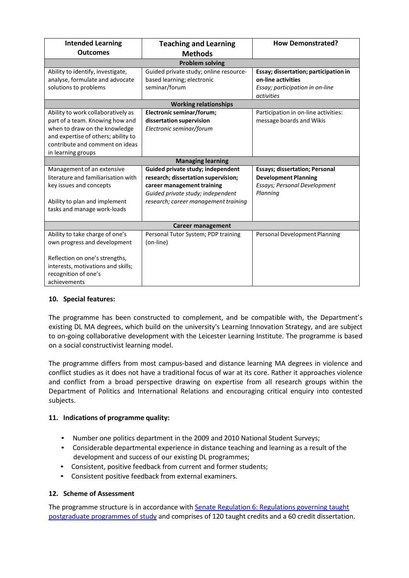| <b>Intended Learning</b>            | <b>Teaching and Learning</b>           | <b>How Demonstrated?</b>              |  |
|-------------------------------------|----------------------------------------|---------------------------------------|--|
| <b>Outcomes</b>                     | <b>Methods</b>                         |                                       |  |
|                                     | <b>Problem solving</b>                 |                                       |  |
| Ability to identify, investigate,   | Guided private study; online resource- | Essay; dissertation; participation in |  |
| analyse, formulate and advocate     | based learning; electronic             | on-line activities                    |  |
| solutions to problems               | seminar/forum                          | Essay; participation in on-line       |  |
|                                     |                                        | activities                            |  |
|                                     | <b>Working relationships</b>           |                                       |  |
| Ability to work collaboratively as  | Electronic seminar/forum;              | Participation in on-line activities:  |  |
| part of a team. Knowing how and     | dissertation supervision               | message boards and Wikis              |  |
| when to draw on the knowledge       | Electronic seminar/forum               |                                       |  |
| and expertise of others; ability to |                                        |                                       |  |
| contribute and comment on ideas     |                                        |                                       |  |
| in learning groups                  |                                        |                                       |  |
|                                     | <b>Managing learning</b>               |                                       |  |
| Management of an extensive          | Guided private study; independent      | <b>Essays; dissertation; Personal</b> |  |
| literature and familiarisation with | research; dissertation supervision;    | <b>Development Planning</b>           |  |
| key issues and concepts             | career management training             | <b>Essays; Personal Development</b>   |  |
|                                     | Guided private study; independent      | Planning                              |  |
| Ability to plan and implement       | research; career management training   |                                       |  |
| tasks and manage work-loads         |                                        |                                       |  |
|                                     |                                        |                                       |  |
| <b>Career management</b>            |                                        |                                       |  |
| Ability to take charge of one's     | Personal Tutor System; PDP training    | Personal Development Planning         |  |
| own progress and development        | (on-line)                              |                                       |  |
|                                     |                                        |                                       |  |
| Reflection on one's strengths,      |                                        |                                       |  |
| interests, motivations and skills;  |                                        |                                       |  |
| recognition of one's                |                                        |                                       |  |
| achievements                        |                                        |                                       |  |

## **10. Special features:**

The programme has been constructed to complement, and be compatible with, the Department's existing DL MA degrees, which build on the university's Learning Innovation Strategy, and are subject to on-going collaborative development with the Leicester Learning Institute. The programme is based on a social constructivist learning model.

The programme differs from most campus-based and distance learning MA degrees in violence and conflict studies as it does not have a traditional focus of war at its core. Rather it approaches violence and conflict from a broad perspective drawing on expertise from all research groups within the Department of Politics and International Relations and encouraging critical enquiry into contested subjects.

## **11. Indications of programme quality:**

- Number one politics department in the 2009 and 2010 National Student Surveys;
- Considerable departmental experience in distance teaching and learning as a result of the development and success of our existing DL programmes;
- Consistent, positive feedback from current and former students;
- Consistent positive feedback from external examiners.

## **12. Scheme of Assessment**

The programme structure is in accordance with Senate Regulation 6: Regulations [governing taught](http://www2.le.ac.uk/offices/sas2/regulations/general-regulations-for-taught-programmes) [postgraduate](http://www2.le.ac.uk/offices/sas2/regulations/general-regulations-for-taught-programmes) programmes of study and comprises of 120 taught credits and a 60 credit dissertation.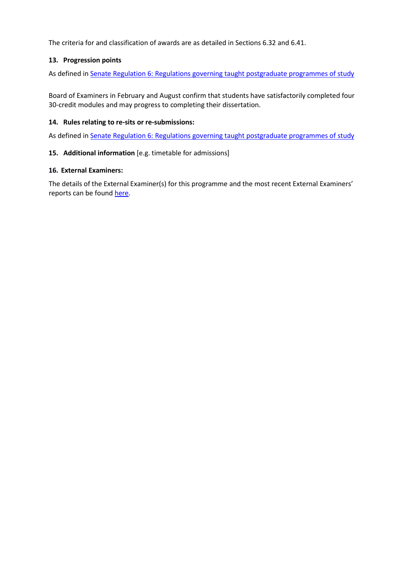The criteria for and classification of awards are as detailed in Sections 6.32 and 6.41.

## **13. Progression points**

As defined in Senate Regulation 6: [Regulations governing taught](http://www2.le.ac.uk/offices/sas2/regulations/general-regulations-for-taught-programmes) postgraduate programmes of study

Board of Examiners in February and August confirm that students have satisfactorily completed four 30-credit modules and may progress to completing their dissertation.

### **14. Rules relating to re-sits or re-submissions:**

As defined in Senate Regulation 6: [Regulations governing taught](http://www2.le.ac.uk/offices/sas2/regulations/general-regulations-for-taught-programmes) postgraduate programmes of study

### **15. Additional information** [e.g. timetable for admissions]

### **16. External Examiners:**

The details of the External Examiner(s) for this programme and the most recent External Examiners' reports can be found [here.](https://exampapers.le.ac.uk/xmlui/handle/123456789/227)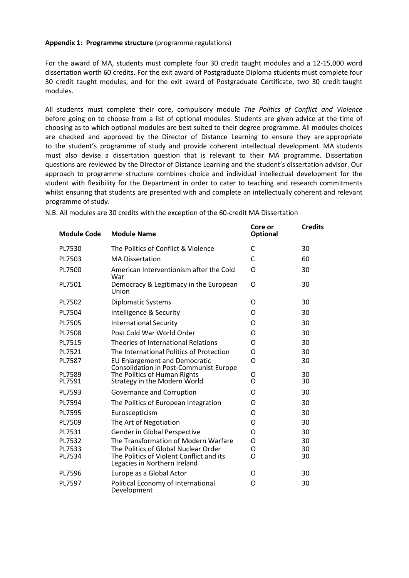### **Appendix 1: Programme structure** (programme regulations)

For the award of MA, students must complete four 30 credit taught modules and a 12-15,000 word dissertation worth 60 credits. For the exit award of Postgraduate Diploma students must complete four 30 credit taught modules, and for the exit award of Postgraduate Certificate, two 30 credit taught modules.

All students must complete their core, compulsory module *The Politics of Conflict and Violence*  before going on to choose from a list of optional modules. Students are given advice at the time of choosing as to which optional modules are best suited to their degree programme. All modules choices are checked and approved by the Director of Distance Learning to ensure they are appropriate to the student's programme of study and provide coherent intellectual development. MA students must also devise a dissertation question that is relevant to their MA programme. Dissertation questions are reviewed by the Director of Distance Learning and the student's dissertation advisor. Our approach to programme structure combines choice and individual intellectual development for the student with flexibility for the Department in order to cater to teaching and research commitments whilst ensuring that students are presented with and complete an intellectually coherent and relevant programme of study.

| <b>Module Code</b> | <b>Module Name</b>                                                             | Core or<br><b>Optional</b> | <b>Credits</b> |
|--------------------|--------------------------------------------------------------------------------|----------------------------|----------------|
| PL7530             | The Politics of Conflict & Violence                                            | C                          | 30             |
| PL7503             | <b>MA Dissertation</b>                                                         | C                          | 60             |
| PL7500             | American Interventionism after the Cold<br>War                                 | O                          | 30             |
| PL7501             | Democracy & Legitimacy in the European<br>Union                                | O                          | 30             |
| PL7502             | <b>Diplomatic Systems</b>                                                      | O                          | 30             |
| PL7504             | Intelligence & Security                                                        | O                          | 30             |
| PL7505             | <b>International Security</b>                                                  | O                          | 30             |
| PL7508             | Post Cold War World Order                                                      | Ω                          | 30             |
| PL7515             | Theories of International Relations                                            | O                          | 30             |
| PL7521             | The International Politics of Protection                                       | O                          | 30             |
| PL7587             | <b>EU Enlargement and Democratic</b><br>Consolidation in Post-Communist Europe | O                          | 30             |
| PL7589<br>PL7591   | The Politics of Human Rights<br>Strategy in the Modern World                   | O<br>O                     | 30<br>30       |
| PL7593             | Governance and Corruption                                                      | Ω                          | 30             |
| PL7594             | The Politics of European Integration                                           | Ω                          | 30             |
| PL7595             | Euroscepticism                                                                 | Ω                          | 30             |
| PL7509             | The Art of Negotiation                                                         | Ω                          | 30             |
| PL7531             | Gender in Global Perspective                                                   | Ω                          | 30             |
| PL7532             | The Transformation of Modern Warfare                                           | O                          | 30             |
| PL7533             | The Politics of Global Nuclear Order                                           | Ο                          | 30             |
| PL7534             | The Politics of Violent Conflict and its<br>Legacies in Northern Ireland       | O                          | 30             |
| PL7596             | Europe as a Global Actor                                                       | O                          | 30             |
| PL7597             | Political Economy of International<br>Development                              | O                          | 30             |

N.B. All modules are 30 credits with the exception of the 60-credit MA Dissertation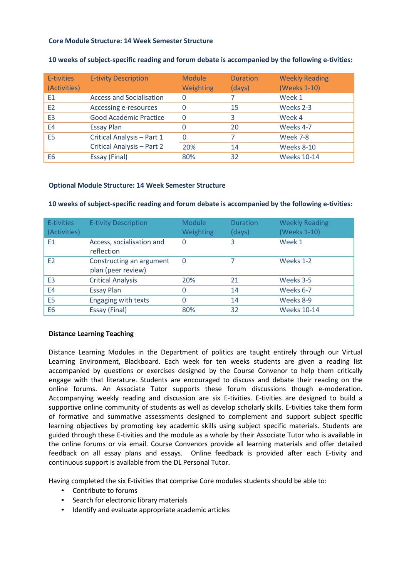### **Core Module Structure: 14 Week Semester Structure**

| E-tivities<br>(Activities) | <b>E-tivity Description</b>     | <b>Module</b><br>Weighting | <b>Duration</b><br>(days) | <b>Weekly Reading</b><br>(Weeks 1-10) |
|----------------------------|---------------------------------|----------------------------|---------------------------|---------------------------------------|
| E1                         | <b>Access and Socialisation</b> | 0                          |                           | Week 1                                |
| E2                         | Accessing e-resources           | 0                          | 15                        | Weeks 2-3                             |
| E <sub>3</sub>             | <b>Good Academic Practice</b>   | 0                          | 3                         | Week 4                                |
| E4                         | <b>Essay Plan</b>               |                            | 20                        | Weeks 4-7                             |
| E <sub>5</sub>             | Critical Analysis - Part 1      |                            |                           | <b>Week 7-8</b>                       |
|                            | Critical Analysis - Part 2      | 20%                        | 14                        | <b>Weeks 8-10</b>                     |
| E <sub>6</sub>             | Essay (Final)                   | 80%                        | 32                        | <b>Weeks 10-14</b>                    |

### **10 weeks of subject-specific reading and forum debate is accompanied by the following e-tivities:**

### **Optional Module Structure: 14 Week Semester Structure**

| E-tivities<br>(Activities) | <b>E-tivity Description</b>                    | <b>Module</b><br>Weighting | <b>Duration</b><br>(days) | <b>Weekly Reading</b><br>(Weeks 1-10) |
|----------------------------|------------------------------------------------|----------------------------|---------------------------|---------------------------------------|
| E <sub>1</sub>             | Access, socialisation and<br>reflection        | $\Omega$                   | 3                         | Week 1                                |
| E <sub>2</sub>             | Constructing an argument<br>plan (peer review) | $\Omega$                   |                           | Weeks 1-2                             |
| E <sub>3</sub>             | <b>Critical Analysis</b>                       | 20%                        | 21                        | Weeks 3-5                             |
| E4                         | <b>Essay Plan</b>                              | 0                          | 14                        | Weeks 6-7                             |
| E5                         | Engaging with texts                            | 0                          | 14                        | Weeks 8-9                             |
| E <sub>6</sub>             | Essay (Final)                                  | 80%                        | 32                        | <b>Weeks 10-14</b>                    |

#### **10 weeks of subject-specific reading and forum debate is accompanied by the following e-tivities:**

### **Distance Learning Teaching**

Distance Learning Modules in the Department of politics are taught entirely through our Virtual Learning Environment, Blackboard. Each week for ten weeks students are given a reading list accompanied by questions or exercises designed by the Course Convenor to help them critically engage with that literature. Students are encouraged to discuss and debate their reading on the online forums. An Associate Tutor supports these forum discussions though e-moderation. Accompanying weekly reading and discussion are six E-tivities. E-tivities are designed to build a supportive online community of students as well as develop scholarly skills. E-tivities take them form of formative and summative assessments designed to complement and support subject specific learning objectives by promoting key academic skills using subject specific materials. Students are guided through these E-tivities and the module as a whole by their Associate Tutor who is available in the online forums or via email. Course Convenors provide all learning materials and offer detailed feedback on all essay plans and essays. Online feedback is provided after each E-tivity and continuous support is available from the DL Personal Tutor.

Having completed the six E-tivities that comprise Core modules students should be able to:

- Contribute to forums
- Search for electronic library materials
- Identify and evaluate appropriate academic articles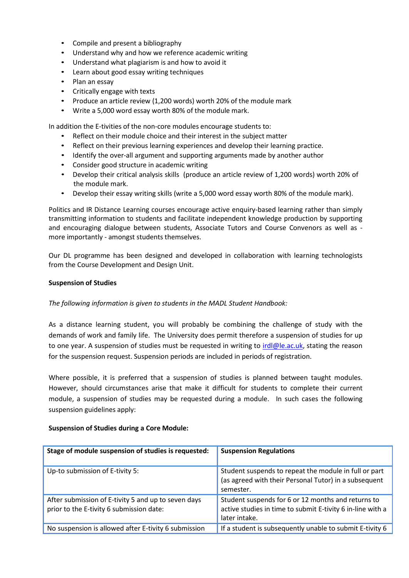- Compile and present a bibliography
- Understand why and how we reference academic writing
- Understand what plagiarism is and how to avoid it
- Learn about good essay writing techniques
- Plan an essay
- Critically engage with texts
- Produce an article review (1,200 words) worth 20% of the module mark
- Write a 5,000 word essay worth 80% of the module mark.

In addition the E-tivities of the non-core modules encourage students to:

- Reflect on their module choice and their interest in the subject matter
- Reflect on their previous learning experiences and develop their learning practice.
- Identify the over-all argument and supporting arguments made by another author
- Consider good structure in academic writing
- Develop their critical analysis skills (produce an article review of 1,200 words) worth 20% of the module mark.
- Develop their essay writing skills (write a 5,000 word essay worth 80% of the module mark).

Politics and IR Distance Learning courses encourage active enquiry-based learning rather than simply transmitting information to students and facilitate independent knowledge production by supporting and encouraging dialogue between students, Associate Tutors and Course Convenors as well as more importantly - amongst students themselves.

Our DL programme has been designed and developed in collaboration with learning technologists from the Course Development and Design Unit.

#### **Suspension of Studies**

### *The following information is given to students in the MADL Student Handbook:*

As a distance learning student, you will probably be combining the challenge of study with the demands of work and family life. The University does permit therefore a suspension of studies for up to one year. A suspension of studies must be requested in writing to *irdl@le.ac.uk*, stating the reason for the suspension request. Suspension periods are included in periods of registration.

Where possible, it is preferred that a suspension of studies is planned between taught modules. However, should circumstances arise that make it difficult for students to complete their current module, a suspension of studies may be requested during a module. In such cases the following suspension guidelines apply:

### **Suspension of Studies during a Core Module:**

| Stage of module suspension of studies is requested:                                             | <b>Suspension Regulations</b>                                                                                                     |
|-------------------------------------------------------------------------------------------------|-----------------------------------------------------------------------------------------------------------------------------------|
| Up-to submission of E-tivity 5:                                                                 | Student suspends to repeat the module in full or part<br>(as agreed with their Personal Tutor) in a subsequent<br>semester.       |
| After submission of E-tivity 5 and up to seven days<br>prior to the E-tivity 6 submission date: | Student suspends for 6 or 12 months and returns to<br>active studies in time to submit E-tivity 6 in-line with a<br>later intake. |
| No suspension is allowed after E-tivity 6 submission                                            | If a student is subsequently unable to submit E-tivity 6                                                                          |